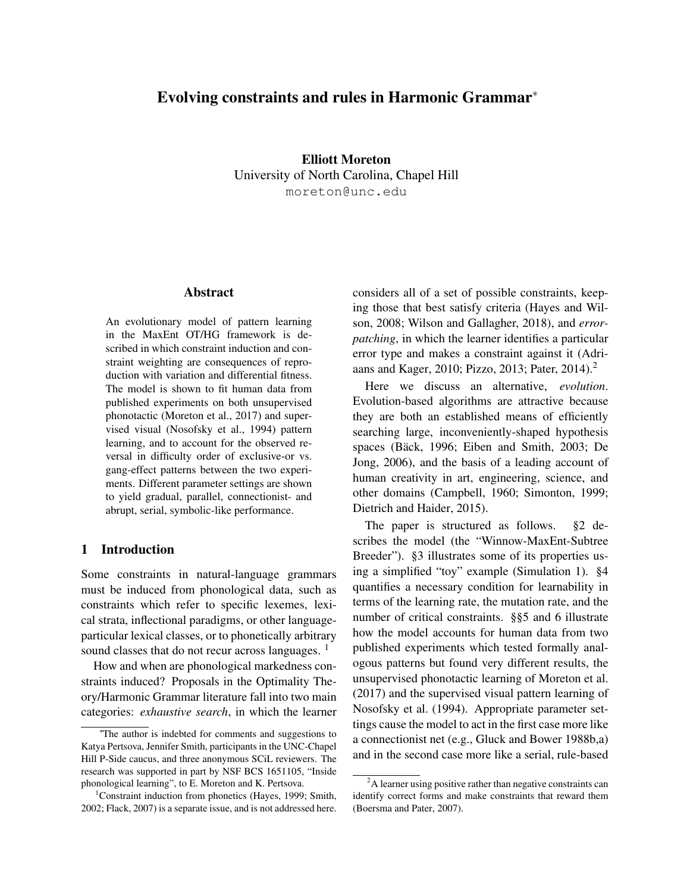# Evolving constraints and rules in Harmonic Grammar<sup>\*</sup>

Elliott Moreton University of North Carolina, Chapel Hill moreton@unc.edu

### Abstract

An evolutionary model of pattern learning in the MaxEnt OT/HG framework is described in which constraint induction and constraint weighting are consequences of reproduction with variation and differential fitness. The model is shown to fit human data from published experiments on both unsupervised phonotactic (Moreton et al., 2017) and supervised visual (Nosofsky et al., 1994) pattern learning, and to account for the observed reversal in difficulty order of exclusive-or vs. gang-effect patterns between the two experiments. Different parameter settings are shown to yield gradual, parallel, connectionist- and abrupt, serial, symbolic-like performance.

# 1 Introduction

Some constraints in natural-language grammars must be induced from phonological data, such as constraints which refer to specific lexemes, lexical strata, inflectional paradigms, or other languageparticular lexical classes, or to phonetically arbitrary sound classes that do not recur across languages.<sup>1</sup>

How and when are phonological markedness constraints induced? Proposals in the Optimality Theory/Harmonic Grammar literature fall into two main categories: *exhaustive search*, in which the learner considers all of a set of possible constraints, keeping those that best satisfy criteria (Hayes and Wilson, 2008; Wilson and Gallagher, 2018), and *errorpatching*, in which the learner identifies a particular error type and makes a constraint against it (Adriaans and Kager, 2010; Pizzo, 2013; Pater, 2014).<sup>2</sup>

Here we discuss an alternative, *evolution*. Evolution-based algorithms are attractive because they are both an established means of efficiently searching large, inconveniently-shaped hypothesis spaces (Bäck, 1996; Eiben and Smith, 2003; De Jong, 2006), and the basis of a leading account of human creativity in art, engineering, science, and other domains (Campbell, 1960; Simonton, 1999; Dietrich and Haider, 2015).

The paper is structured as follows. §2 describes the model (the "Winnow-MaxEnt-Subtree Breeder"). §3 illustrates some of its properties using a simplified "toy" example (Simulation 1). §4 quantifies a necessary condition for learnability in terms of the learning rate, the mutation rate, and the number of critical constraints. §§5 and 6 illustrate how the model accounts for human data from two published experiments which tested formally analogous patterns but found very different results, the unsupervised phonotactic learning of Moreton et al. (2017) and the supervised visual pattern learning of Nosofsky et al. (1994). Appropriate parameter settings cause the model to act in the first case more like a connectionist net (e.g., Gluck and Bower 1988b,a) and in the second case more like a serial, rule-based

<sup>⇤</sup> The author is indebted for comments and suggestions to Katya Pertsova, Jennifer Smith, participants in the UNC-Chapel Hill P-Side caucus, and three anonymous SCiL reviewers. The research was supported in part by NSF BCS 1651105, "Inside phonological learning", to E. Moreton and K. Pertsova.

<sup>&</sup>lt;sup>1</sup>Constraint induction from phonetics (Hayes, 1999; Smith, 2002; Flack, 2007) is a separate issue, and is not addressed here.

 $2A$  learner using positive rather than negative constraints can identify correct forms and make constraints that reward them (Boersma and Pater, 2007).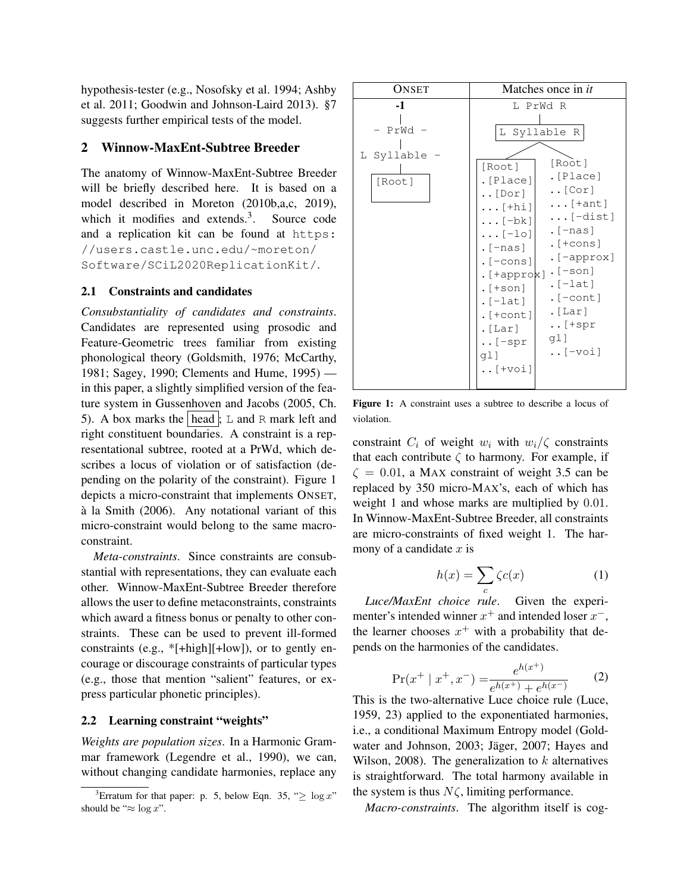hypothesis-tester (e.g., Nosofsky et al. 1994; Ashby et al. 2011; Goodwin and Johnson-Laird 2013). §7 suggests further empirical tests of the model.

# 2 Winnow-MaxEnt-Subtree Breeder

The anatomy of Winnow-MaxEnt-Subtree Breeder will be briefly described here. It is based on a model described in Moreton (2010b,a,c, 2019), which it modifies and extends.<sup>3</sup>. Source code and a replication kit can be found at https: //users.castle.unc.edu/~moreton/ Software/SCiL2020ReplicationKit/.

### 2.1 Constraints and candidates

*Consubstantiality of candidates and constraints*. Candidates are represented using prosodic and Feature-Geometric trees familiar from existing phonological theory (Goldsmith, 1976; McCarthy, 1981; Sagey, 1990; Clements and Hume, 1995) in this paper, a slightly simplified version of the feature system in Gussenhoven and Jacobs (2005, Ch. 5). A box marks the head ;  $\angle$  and R mark left and right constituent boundaries. A constraint is a representational subtree, rooted at a PrWd, which describes a locus of violation or of satisfaction (depending on the polarity of the constraint). Figure 1 depicts a micro-constraint that implements ONSET, à la Smith (2006). Any notational variant of this micro-constraint would belong to the same macroconstraint.

*Meta-constraints*. Since constraints are consubstantial with representations, they can evaluate each other. Winnow-MaxEnt-Subtree Breeder therefore allows the user to define metaconstraints, constraints which award a fitness bonus or penalty to other constraints. These can be used to prevent ill-formed constraints (e.g., \*[+high][+low]), or to gently encourage or discourage constraints of particular types (e.g., those that mention "salient" features, or express particular phonetic principles).

#### 2.2 Learning constraint "weights"

*Weights are population sizes*. In a Harmonic Grammar framework (Legendre et al., 1990), we can, without changing candidate harmonies, replace any

| ONSET                                  | Matches once in it                                                                                                                                                                                                                                                                                                                                                                                                                                                                                                              |
|----------------------------------------|---------------------------------------------------------------------------------------------------------------------------------------------------------------------------------------------------------------------------------------------------------------------------------------------------------------------------------------------------------------------------------------------------------------------------------------------------------------------------------------------------------------------------------|
| -1<br>$PrWd -$<br>L Syllable<br>[Root] | L PrWd R<br>L Syllable R<br>[Root]<br>[Root]<br>. [Place]<br>. [Place]<br>$\ldots$ [Cor]<br>$\ldots$ [Dor]<br>$\ldots$ [+ant]<br>$\ldots$ [+hi]<br>$\ldots$ [-dist]<br>$\ldots$ [-bk]<br>. $[–nas]$<br>$\ldots$ [-lo]<br>. $[+cons]$<br>. $[-\text{nas}]$<br>. [-approx]<br>$.[-cons]$<br>. $[+approx] \cdot [--son]$<br>. $[-lat]$<br>$.[+son]$<br>. $[-\text{cont}]$<br>$.[-lat]$<br>. $[Lar]$<br>$.[+cont]$<br>$\ldots$ [+spr<br>. $[Lar]$<br>gl]<br>$\ldots$ [-spr<br>$\ldots$ [-voi]<br>ql]<br>$\ldots$ [ + $\text{vol}$ ] |

Figure 1: A constraint uses a subtree to describe a locus of violation.

constraint  $C_i$  of weight  $w_i$  with  $w_i/\zeta$  constraints that each contribute  $\zeta$  to harmony. For example, if  $\zeta = 0.01$ , a MAX constraint of weight 3.5 can be replaced by 350 micro-MAX's, each of which has weight 1 and whose marks are multiplied by 0*.*01. In Winnow-MaxEnt-Subtree Breeder, all constraints are micro-constraints of fixed weight 1. The harmony of a candidate *x* is

$$
h(x) = \sum_{c} \zeta c(x) \tag{1}
$$

*Luce/MaxEnt choice rule*. Given the experimenter's intended winner  $x^+$  and intended loser  $x^-$ , the learner chooses  $x^+$  with a probability that depends on the harmonies of the candidates.

$$
\Pr(x^+ \mid x^+, x^-) = \frac{e^{h(x^+)}}{e^{h(x^+)} + e^{h(x^-)}}\tag{2}
$$

This is the two-alternative Luce choice rule (Luce, 1959, 23) applied to the exponentiated harmonies, i.e., a conditional Maximum Entropy model (Goldwater and Johnson, 2003; Jäger, 2007; Hayes and Wilson, 2008). The generalization to *k* alternatives is straightforward. The total harmony available in the system is thus  $N\zeta$ , limiting performance.

*Macro-constraints*. The algorithm itself is cog-

<sup>&</sup>lt;sup>3</sup>Erratum for that paper: p. 5, below Eqn. 35, " $\geq \log x$ " should be " $\approx \log x$ ".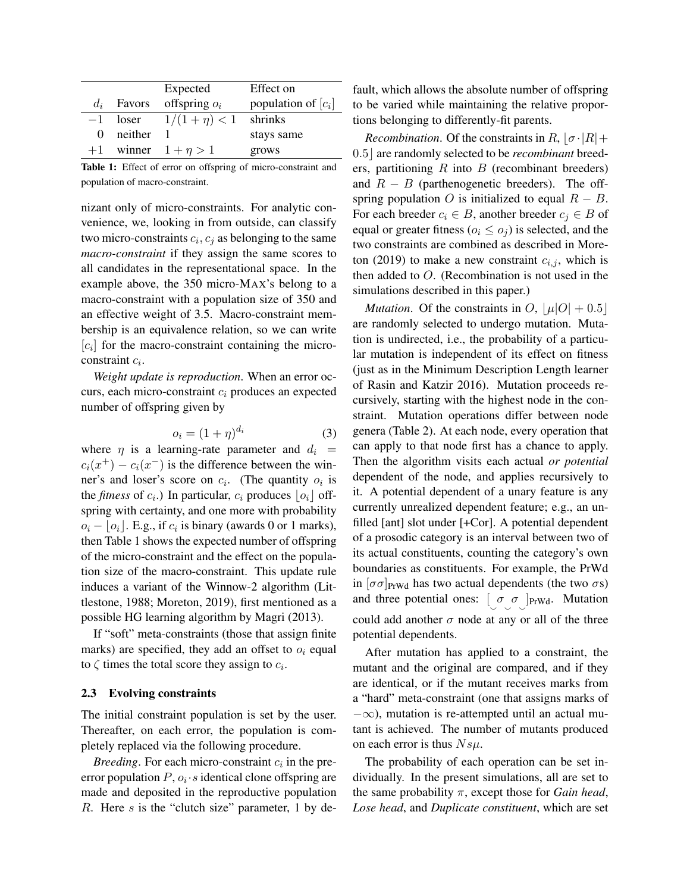|          |              | Expected                 | Effect on             |
|----------|--------------|--------------------------|-----------------------|
|          | $d_i$ Favors | offspring $o_i$          | population of $[c_i]$ |
| $-1$     |              | loser $1/(1 + \eta) < 1$ | shrinks               |
| $\theta$ | neither      |                          | stays same            |
| $+1$     |              | winner $1 + \eta > 1$    | grows                 |
|          |              |                          |                       |

Table 1: Effect of error on offspring of micro-constraint and population of macro-constraint.

nizant only of micro-constraints. For analytic convenience, we, looking in from outside, can classify two micro-constraints  $c_i$ ,  $c_j$  as belonging to the same *macro-constraint* if they assign the same scores to all candidates in the representational space. In the example above, the 350 micro-MAX's belong to a macro-constraint with a population size of 350 and an effective weight of 3.5. Macro-constraint membership is an equivalence relation, so we can write  $[c_i]$  for the macro-constraint containing the microconstraint *ci*.

*Weight update is reproduction*. When an error occurs, each micro-constraint *c<sup>i</sup>* produces an expected number of offspring given by

$$
o_i = (1+\eta)^{d_i} \tag{3}
$$

where  $\eta$  is a learning-rate parameter and  $d_i$  =  $c_i(x^+) - c_i(x^-)$  is the difference between the winner's and loser's score on *ci*. (The quantity *o<sup>i</sup>* is the *fitness* of  $c_i$ .) In particular,  $c_i$  produces  $|o_i|$  offspring with certainty, and one more with probability  $o_i - |o_i|$ . E.g., if  $c_i$  is binary (awards 0 or 1 marks), then Table 1 shows the expected number of offspring of the micro-constraint and the effect on the population size of the macro-constraint. This update rule induces a variant of the Winnow-2 algorithm (Littlestone, 1988; Moreton, 2019), first mentioned as a possible HG learning algorithm by Magri (2013).

If "soft" meta-constraints (those that assign finite marks) are specified, they add an offset to  $o_i$  equal to  $\zeta$  times the total score they assign to  $c_i$ .

#### 2.3 Evolving constraints

The initial constraint population is set by the user. Thereafter, on each error, the population is completely replaced via the following procedure.

*Breeding*. For each micro-constraint *c<sup>i</sup>* in the preerror population  $P$ ,  $o_i \cdot s$  identical clone offspring are made and deposited in the reproductive population *R*. Here *s* is the "clutch size" parameter, 1 by default, which allows the absolute number of offspring to be varied while maintaining the relative proportions belonging to differently-fit parents.

*Recombination.* Of the constraints in  $R$ ,  $\sigma$  ·  $|R|$  + 0.5 are randomly selected to be *recombinant* breeders, partitioning *R* into *B* (recombinant breeders) and  $R - B$  (parthenogenetic breeders). The offspring population *O* is initialized to equal  $R - B$ . For each breeder  $c_i \in B$ , another breeder  $c_j \in B$  of equal or greater fitness ( $o_i \leq o_j$ ) is selected, and the two constraints are combined as described in Moreton (2019) to make a new constraint  $c_{i,j}$ , which is then added to *O*. (Recombination is not used in the simulations described in this paper.)

*Mutation.* Of the constraints in  $O$ ,  $|\mu|O| + 0.5$ are randomly selected to undergo mutation. Mutation is undirected, i.e., the probability of a particular mutation is independent of its effect on fitness (just as in the Minimum Description Length learner of Rasin and Katzir 2016). Mutation proceeds recursively, starting with the highest node in the constraint. Mutation operations differ between node genera (Table 2). At each node, every operation that can apply to that node first has a chance to apply. Then the algorithm visits each actual *or potential* dependent of the node, and applies recursively to it. A potential dependent of a unary feature is any currently unrealized dependent feature; e.g., an unfilled [ant] slot under [+Cor]. A potential dependent of a prosodic category is an interval between two of its actual constituents, counting the category's own boundaries as constituents. For example, the PrWd in  $[\sigma\sigma]_{PrWd}$  has two actual dependents (the two  $\sigma s$ ) and three potential ones:  $\begin{bmatrix} \sigma \\ \sigma \end{bmatrix}$   $_{\text{PrWd}}$ . Mutation could add another  $\sigma$  node at any or all of the three potential dependents.

After mutation has applied to a constraint, the mutant and the original are compared, and if they are identical, or if the mutant receives marks from a "hard" meta-constraint (one that assigns marks of  $-\infty$ ), mutation is re-attempted until an actual mutant is achieved. The number of mutants produced on each error is thus *Nsµ*.

The probability of each operation can be set individually. In the present simulations, all are set to the same probability  $\pi$ , except those for *Gain head*, *Lose head*, and *Duplicate constituent*, which are set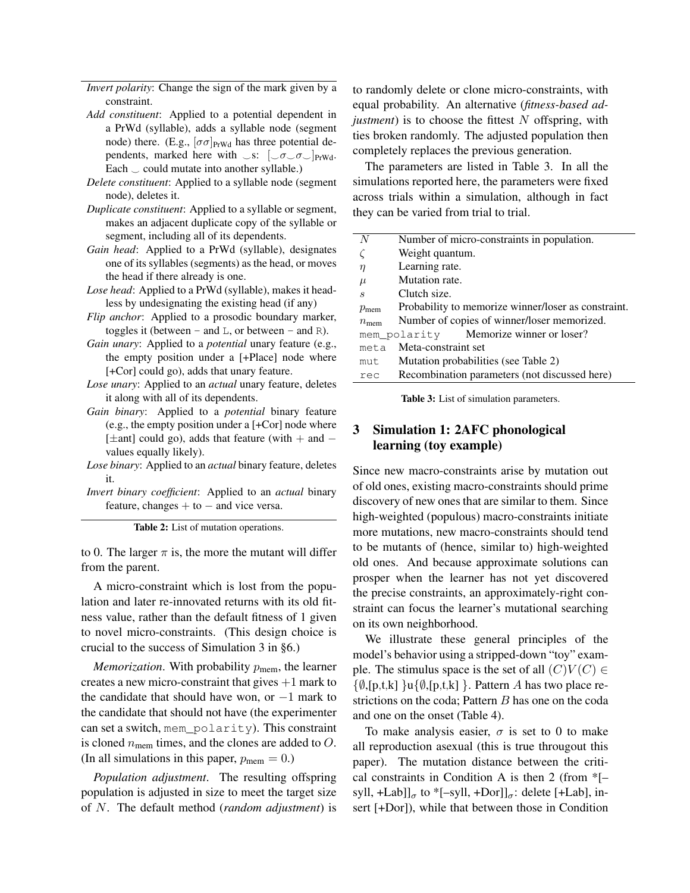*Invert polarity*: Change the sign of the mark given by a constraint.

- *Add constituent*: Applied to a potential dependent in a PrWd (syllable), adds a syllable node (segment node) there. (E.g.,  $[\sigma \sigma]_{PrWd}$  has three potential dependents, marked here with  $\Box$ s:  $[\Box \sigma \Box \sigma \Box]$ <sub>PrWd</sub>. Each  $\circ$  could mutate into another syllable.)
- *Delete constituent*: Applied to a syllable node (segment node), deletes it.
- *Duplicate constituent*: Applied to a syllable or segment, makes an adjacent duplicate copy of the syllable or segment, including all of its dependents.
- *Gain head*: Applied to a PrWd (syllable), designates one of its syllables (segments) as the head, or moves the head if there already is one.
- *Lose head*: Applied to a PrWd (syllable), makes it headless by undesignating the existing head (if any)
- *Flip anchor*: Applied to a prosodic boundary marker, toggles it (between – and  $L$ , or between – and  $R$ ).
- *Gain unary*: Applied to a *potential* unary feature (e.g., the empty position under a [+Place] node where [+Cor] could go), adds that unary feature.
- *Lose unary*: Applied to an *actual* unary feature, deletes it along with all of its dependents.
- *Gain binary*: Applied to a *potential* binary feature (e.g., the empty position under a [+Cor] node where [ $\pm$ ant] could go), adds that feature (with  $+$  and  $$ values equally likely).
- *Lose binary*: Applied to an *actual* binary feature, deletes it.
- *Invert binary coefficient*: Applied to an *actual* binary feature, changes  $+$  to  $-$  and vice versa.

Table 2: List of mutation operations.

to 0. The larger  $\pi$  is, the more the mutant will differ from the parent.

A micro-constraint which is lost from the population and later re-innovated returns with its old fitness value, rather than the default fitness of 1 given to novel micro-constraints. (This design choice is crucial to the success of Simulation 3 in §6.)

*Memorization*. With probability  $p_{\text{mem}}$ , the learner creates a new micro-constraint that gives  $+1$  mark to the candidate that should have won, or  $-1$  mark to the candidate that should not have (the experimenter can set a switch, mem\_polarity). This constraint is cloned *n*mem times, and the clones are added to *O*. (In all simulations in this paper,  $p_{\text{mem}} = 0$ .)

*Population adjustment*. The resulting offspring population is adjusted in size to meet the target size of *N*. The default method (*random adjustment*) is to randomly delete or clone micro-constraints, with equal probability. An alternative (*fitness-based adjustment*) is to choose the fittest *N* offspring, with ties broken randomly. The adjusted population then completely replaces the previous generation.

The parameters are listed in Table 3. In all the simulations reported here, the parameters were fixed across trials within a simulation, although in fact they can be varied from trial to trial.

| N                | Number of micro-constraints in population.          |
|------------------|-----------------------------------------------------|
|                  | Weight quantum.                                     |
| $\eta$           | Learning rate.                                      |
| $\mu$            | Mutation rate.                                      |
| $\boldsymbol{s}$ | Clutch size.                                        |
| $p_{\rm mem}$    | Probability to memorize winner/loser as constraint. |
| $n_{\rm mem}$    | Number of copies of winner/loser memorized.         |
|                  | mem polarity Memorize winner or loser?              |
| meta             | Meta-constraint set                                 |
| mut              | Mutation probabilities (see Table 2)                |
| rec              | Recombination parameters (not discussed here)       |
|                  |                                                     |

Table 3: List of simulation parameters.

# 3 Simulation 1: 2AFC phonological learning (toy example)

Since new macro-constraints arise by mutation out of old ones, existing macro-constraints should prime discovery of new ones that are similar to them. Since high-weighted (populous) macro-constraints initiate more mutations, new macro-constraints should tend to be mutants of (hence, similar to) high-weighted old ones. And because approximate solutions can prosper when the learner has not yet discovered the precise constraints, an approximately-right constraint can focus the learner's mutational searching on its own neighborhood.

We illustrate these general principles of the model's behavior using a stripped-down "toy" example. The stimulus space is the set of all  $(C)V(C) \in$  $\{\emptyset, [p,t,k] \}$ u $\{\emptyset, [p,t,k] \}$ . Pattern *A* has two place restrictions on the coda; Pattern *B* has one on the coda and one on the onset (Table 4).

To make analysis easier,  $\sigma$  is set to 0 to make all reproduction asexual (this is true througout this paper). The mutation distance between the critical constraints in Condition A is then 2 (from \*[– syll, +Lab]] $_{\sigma}$  to \*[-syll, +Dor]] $_{\sigma}$ : delete [+Lab], insert [+Dor]), while that between those in Condition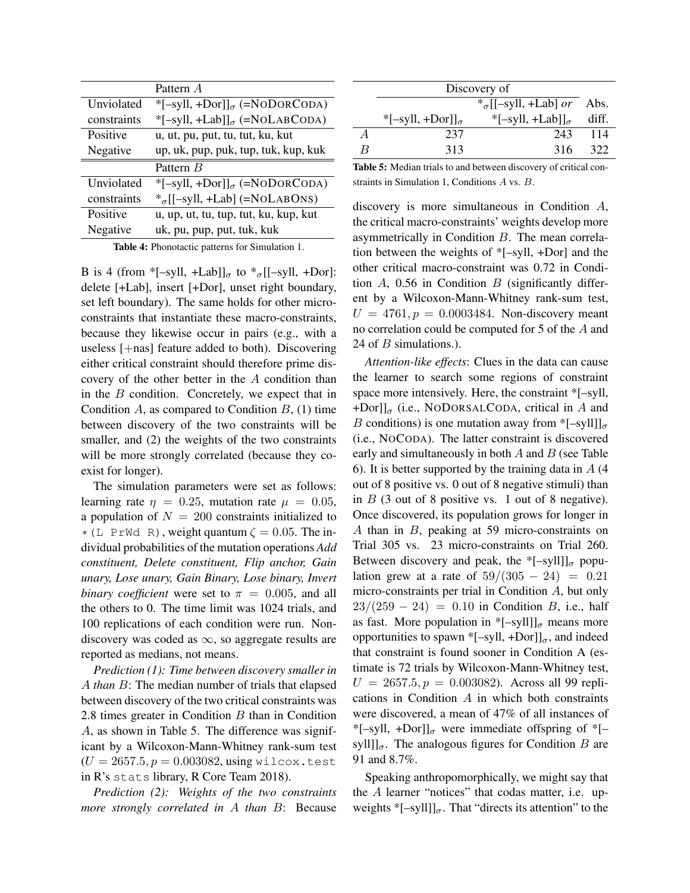|             | Pattern A                                |
|-------------|------------------------------------------|
| Unviolated  | *[-syll, +Dor]] $_{\sigma}$ (=NODORCODA) |
| constraints | *[-syll, +Lab]] $_{\sigma}$ (=NOLABCODA) |
| Positive    | u, ut, pu, put, tu, tut, ku, kut         |
| Negative    | up, uk, pup, puk, tup, tuk, kup, kuk     |
|             | Pattern B                                |
| Unviolated  | *[-syll, +Dor]] $_{\sigma}$ (=NODORCODA) |
| constraints | $*_\sigma$ [[-syll, +Lab] (=NOLABONS)    |
| Positive    | u, up, ut, tu, tup, tut, ku, kup, kut    |
| Negative    | uk, pu, pup, put, tuk, kuk               |

Table 4: Phonotactic patterns for Simulation 1.

B is 4 (from \*[–syll, +Lab]] $_{\sigma}$  to \* $_{\sigma}$ [[–syll, +Dor]: delete [+Lab], insert [+Dor], unset right boundary, set left boundary). The same holds for other microconstraints that instantiate these macro-constraints, because they likewise occur in pairs (e.g., with a useless [+nas] feature added to both). Discovering either critical constraint should therefore prime discovery of the other better in the *A* condition than in the *B* condition. Concretely, we expect that in Condition  $A$ , as compared to Condition  $B$ , (1) time between discovery of the two constraints will be smaller, and (2) the weights of the two constraints will be more strongly correlated (because they coexist for longer).

The simulation parameters were set as follows: learning rate  $\eta = 0.25$ , mutation rate  $\mu = 0.05$ , a population of  $N = 200$  constraints initialized to  $\star$  (L PrWd R), weight quantum  $\zeta = 0.05$ . The individual probabilities of the mutation operations *Add constituent, Delete constituent, Flip anchor, Gain unary, Lose unary, Gain Binary, Lose binary, Invert binary coefficient* were set to  $\pi = 0.005$ , and all the others to 0. The time limit was 1024 trials, and 100 replications of each condition were run. Nondiscovery was coded as  $\infty$ , so aggregate results are reported as medians, not means.

*Prediction (1): Time between discovery smaller in A than B*: The median number of trials that elapsed between discovery of the two critical constraints was 2.8 times greater in Condition *B* than in Condition *A*, as shown in Table 5. The difference was significant by a Wilcoxon-Mann-Whitney rank-sum test  $(U = 2657.5, p = 0.003082,$  using wilcox.test in R's stats library, R Core Team 2018).

*Prediction (2): Weights of the two constraints more strongly correlated in A than B*: Because

|   | Discovery of                 |                             |       |  |
|---|------------------------------|-----------------------------|-------|--|
|   | $*_\sigma$ [[-syll, +Lab] or |                             |       |  |
|   | *[-syll, +Dor]] $_{\sigma}$  | *[-syll, +Lab]] $_{\sigma}$ | diff. |  |
| А | 237                          | 243                         | 114   |  |
| R | 313                          | 316                         | 322   |  |
|   |                              |                             |       |  |

Table 5: Median trials to and between discovery of critical constraints in Simulation 1, Conditions *A* vs. *B*.

discovery is more simultaneous in Condition *A*, the critical macro-constraints' weights develop more asymmetrically in Condition *B*. The mean correlation between the weights of \*[–syll, +Dor] and the other critical macro-constraint was 0.72 in Condition *A*, 0.56 in Condition *B* (significantly different by a Wilcoxon-Mann-Whitney rank-sum test,  $U = 4761, p = 0.0003484$ . Non-discovery meant no correlation could be computed for 5 of the *A* and 24 of *B* simulations.).

*Attention-like effects*: Clues in the data can cause the learner to search some regions of constraint space more intensively. Here, the constraint \*[–syll,  $+$ Dor]] $_{\sigma}$  (i.e., NODORSALCODA, critical in *A* and *B* conditions) is one mutation away from \*[–syll]]<sub> $\sigma$ </sub> (i.e., NOCODA). The latter constraint is discovered early and simultaneously in both *A* and *B* (see Table 6). It is better supported by the training data in *A* (4 out of 8 positive vs. 0 out of 8 negative stimuli) than in *B* (3 out of 8 positive vs. 1 out of 8 negative). Once discovered, its population grows for longer in *A* than in *B*, peaking at 59 micro-constraints on Trial 305 vs. 23 micro-constraints on Trial 260. Between discovery and peak, the  $*[-syll]]_{\sigma}$  population grew at a rate of  $59/(305 - 24) = 0.21$ micro-constraints per trial in Condition *A*, but only  $23/(259 - 24) = 0.10$  in Condition *B*, i.e., half as fast. More population in  $[-syll]]_{\sigma}$  means more opportunities to spawn \*[-syll, +Dor]] $_{\sigma}$ , and indeed that constraint is found sooner in Condition A (estimate is 72 trials by Wilcoxon-Mann-Whitney test,  $U = 2657.5, p = 0.003082$ . Across all 99 replications in Condition *A* in which both constraints were discovered, a mean of 47% of all instances of \*[-syll, +Dor]] $_{\sigma}$  were immediate offspring of \*[syll]] $_{\sigma}$ . The analogous figures for Condition *B* are 91 and 8.7%.

Speaking anthropomorphically, we might say that the *A* learner "notices" that codas matter, i.e. upweights  $*[-sy1]]_{\sigma}$ . That "directs its attention" to the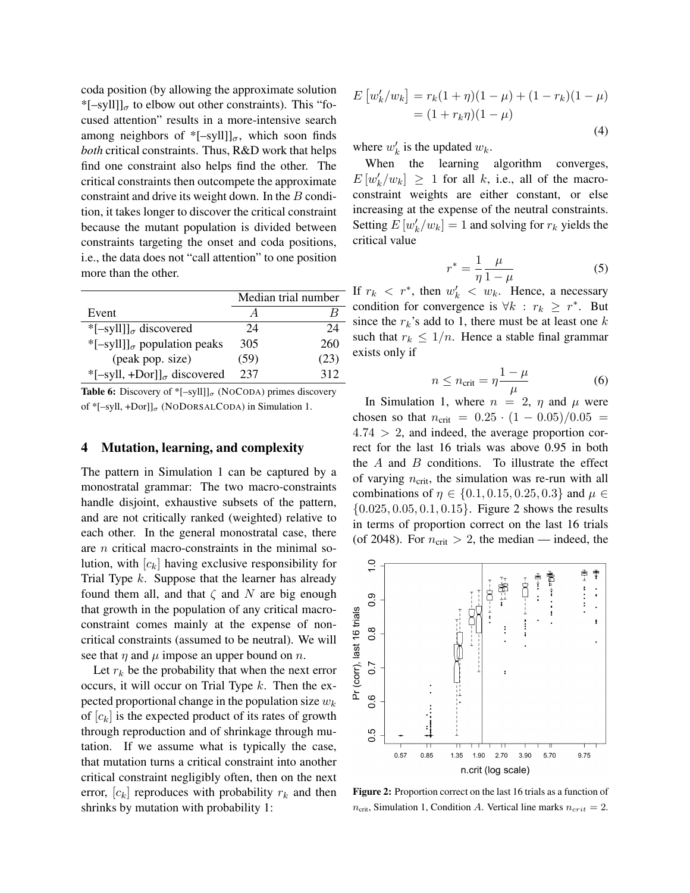coda position (by allowing the approximate solution \*[-syll]] $_{\sigma}$  to elbow out other constraints). This "focused attention" results in a more-intensive search among neighbors of  $*[-syll]]_{\sigma}$ , which soon finds *both* critical constraints. Thus, R&D work that helps find one constraint also helps find the other. The critical constraints then outcompete the approximate constraint and drive its weight down. In the *B* condition, it takes longer to discover the critical constraint because the mutant population is divided between constraints targeting the onset and coda positions, i.e., the data does not "call attention" to one position more than the other.

|                                                           | Median trial number |      |
|-----------------------------------------------------------|---------------------|------|
| Event                                                     |                     |      |
| * $[-sy11]_{\sigma}$ discovered                           | 24                  | 24   |
| *[-syll]] <sub><math>\sigma</math></sub> population peaks | 305                 | 260  |
| (peak pop. size)                                          | (59)                | (23) |
| *[-syll, +Dor]] $_{\sigma}$ discovered                    | 237                 | 312  |

**Table 6:** Discovery of  $*$ [-syll]] $_{\sigma}$  (NOCODA) primes discovery of \*[-syll, +Dor]] $_{\sigma}$  (NODORSALCODA) in Simulation 1.

### 4 Mutation, learning, and complexity

The pattern in Simulation 1 can be captured by a monostratal grammar: The two macro-constraints handle disjoint, exhaustive subsets of the pattern, and are not critically ranked (weighted) relative to each other. In the general monostratal case, there are *n* critical macro-constraints in the minimal solution, with  $[c_k]$  having exclusive responsibility for Trial Type *k*. Suppose that the learner has already found them all, and that  $\zeta$  and  $N$  are big enough that growth in the population of any critical macroconstraint comes mainly at the expense of noncritical constraints (assumed to be neutral). We will see that  $\eta$  and  $\mu$  impose an upper bound on  $n$ .

Let  $r_k$  be the probability that when the next error occurs, it will occur on Trial Type *k*. Then the expected proportional change in the population size *w<sup>k</sup>* of  $[c_k]$  is the expected product of its rates of growth through reproduction and of shrinkage through mutation. If we assume what is typically the case, that mutation turns a critical constraint into another critical constraint negligibly often, then on the next error,  $[c_k]$  reproduces with probability  $r_k$  and then shrinks by mutation with probability 1:

$$
E [w'_{k}/w_{k}] = r_{k}(1+\eta)(1-\mu) + (1-r_{k})(1-\mu)
$$
  
=  $(1+r_{k}\eta)(1-\mu)$  (4)

where  $w'_k$  is the updated  $w_k$ .

When the learning algorithm converges,  $E[w'_k/w_k] \ge 1$  for all *k*, i.e., all of the macroconstraint weights are either constant, or else increasing at the expense of the neutral constraints. Setting  $E[w'_k/w_k] = 1$  and solving for  $r_k$  yields the critical value

$$
r^* = \frac{1}{\eta} \frac{\mu}{1 - \mu} \tag{5}
$$

If  $r_k < r^*$ , then  $w'_k < w_k$ . Hence, a necessary condition for convergence is  $\forall k : r_k \geq r^*$ . But since the  $r_k$ 's add to 1, there must be at least one  $k$ such that  $r_k \leq 1/n$ . Hence a stable final grammar exists only if

$$
n \le n_{\rm crit} = \eta \frac{1 - \mu}{\mu} \tag{6}
$$

In Simulation 1, where  $n = 2$ ,  $\eta$  and  $\mu$  were chosen so that  $n_{\text{crit}} = 0.25 \cdot (1 - 0.05)/0.05 =$ 4*.*74 *>* 2, and indeed, the average proportion correct for the last 16 trials was above 0.95 in both the *A* and *B* conditions. To illustrate the effect of varying  $n_{\text{crit}}$ , the simulation was re-run with all combinations of  $\eta \in \{0.1, 0.15, 0.25, 0.3\}$  and  $\mu \in$ *{*0*.*025*,* 0*.*05*,* 0*.*1*,* 0*.*15*}*. Figure 2 shows the results in terms of proportion correct on the last 16 trials (of 2048). For  $n_{\text{crit}} > 2$ , the median — indeed, the



Figure 2: Proportion correct on the last 16 trials as a function of  $n_{\text{crit}}$ , Simulation 1, Condition *A*. Vertical line marks  $n_{\text{crit}} = 2$ .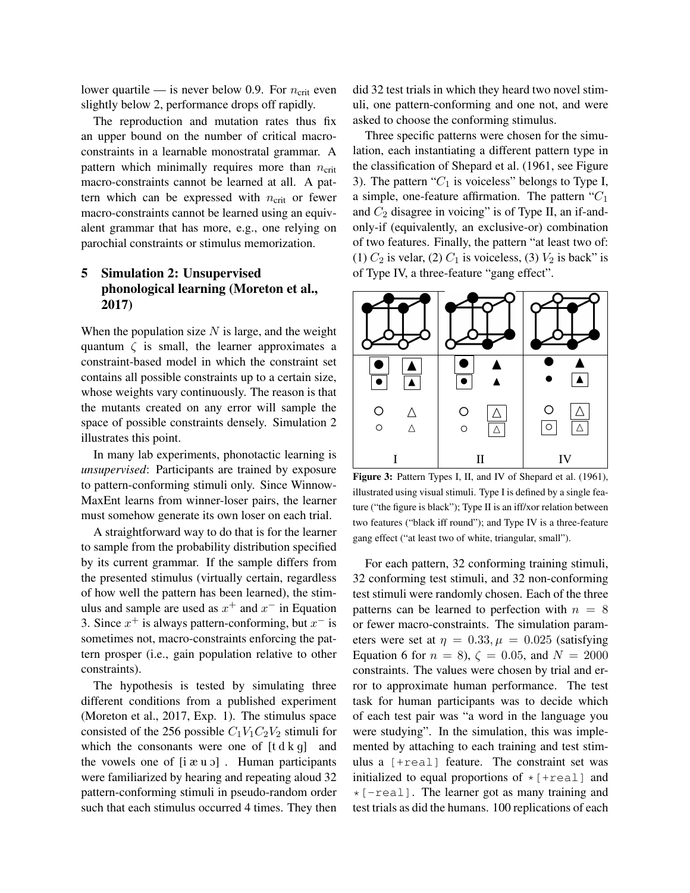lower quartile — is never below 0.9. For  $n_{\text{crit}}$  even slightly below 2, performance drops off rapidly.

The reproduction and mutation rates thus fix an upper bound on the number of critical macroconstraints in a learnable monostratal grammar. A pattern which minimally requires more than *n*<sub>crit</sub> macro-constraints cannot be learned at all. A pattern which can be expressed with  $n_{\text{crit}}$  or fewer macro-constraints cannot be learned using an equivalent grammar that has more, e.g., one relying on parochial constraints or stimulus memorization.

# 5 Simulation 2: Unsupervised phonological learning (Moreton et al., 2017)

When the population size *N* is large, and the weight quantum  $\zeta$  is small, the learner approximates a constraint-based model in which the constraint set contains all possible constraints up to a certain size, whose weights vary continuously. The reason is that the mutants created on any error will sample the space of possible constraints densely. Simulation 2 illustrates this point.

In many lab experiments, phonotactic learning is *unsupervised*: Participants are trained by exposure to pattern-conforming stimuli only. Since Winnow-MaxEnt learns from winner-loser pairs, the learner must somehow generate its own loser on each trial.

A straightforward way to do that is for the learner to sample from the probability distribution specified by its current grammar. If the sample differs from the presented stimulus (virtually certain, regardless of how well the pattern has been learned), the stimulus and sample are used as  $x^+$  and  $x^-$  in Equation 3. Since  $x^+$  is always pattern-conforming, but  $x^-$  is sometimes not, macro-constraints enforcing the pattern prosper (i.e., gain population relative to other constraints).

The hypothesis is tested by simulating three different conditions from a published experiment (Moreton et al., 2017, Exp. 1). The stimulus space consisted of the 256 possible  $C_1V_1C_2V_2$  stimuli for which the consonants were one of  $[t d k g]$  and the vowels one of  $[i \alpha u]$ . Human participants were familiarized by hearing and repeating aloud 32 pattern-conforming stimuli in pseudo-random order such that each stimulus occurred 4 times. They then did 32 test trials in which they heard two novel stimuli, one pattern-conforming and one not, and were asked to choose the conforming stimulus.

Three specific patterns were chosen for the simulation, each instantiating a different pattern type in the classification of Shepard et al. (1961, see Figure 3). The pattern " $C_1$  is voiceless" belongs to Type I, a simple, one-feature affirmation. The pattern "*C*<sup>1</sup> and  $C_2$  disagree in voicing" is of Type II, an if-andonly-if (equivalently, an exclusive-or) combination of two features. Finally, the pattern "at least two of: (1)  $C_2$  is velar, (2)  $C_1$  is voiceless, (3)  $V_2$  is back" is of Type IV, a three-feature "gang effect".



Figure 3: Pattern Types I, II, and IV of Shepard et al. (1961), illustrated using visual stimuli. Type I is defined by a single feature ("the figure is black"); Type II is an iff/xor relation between two features ("black iff round"); and Type IV is a three-feature gang effect ("at least two of white, triangular, small").

For each pattern, 32 conforming training stimuli, 32 conforming test stimuli, and 32 non-conforming test stimuli were randomly chosen. Each of the three patterns can be learned to perfection with  $n = 8$ or fewer macro-constraints. The simulation parameters were set at  $\eta = 0.33, \mu = 0.025$  (satisfying Equation 6 for  $n = 8$ ,  $\zeta = 0.05$ , and  $N = 2000$ constraints. The values were chosen by trial and error to approximate human performance. The test task for human participants was to decide which of each test pair was "a word in the language you were studying". In the simulation, this was implemented by attaching to each training and test stimulus a [+real] feature. The constraint set was initialized to equal proportions of  $\star$  [+real] and  $\star$  [-real]. The learner got as many training and test trials as did the humans. 100 replications of each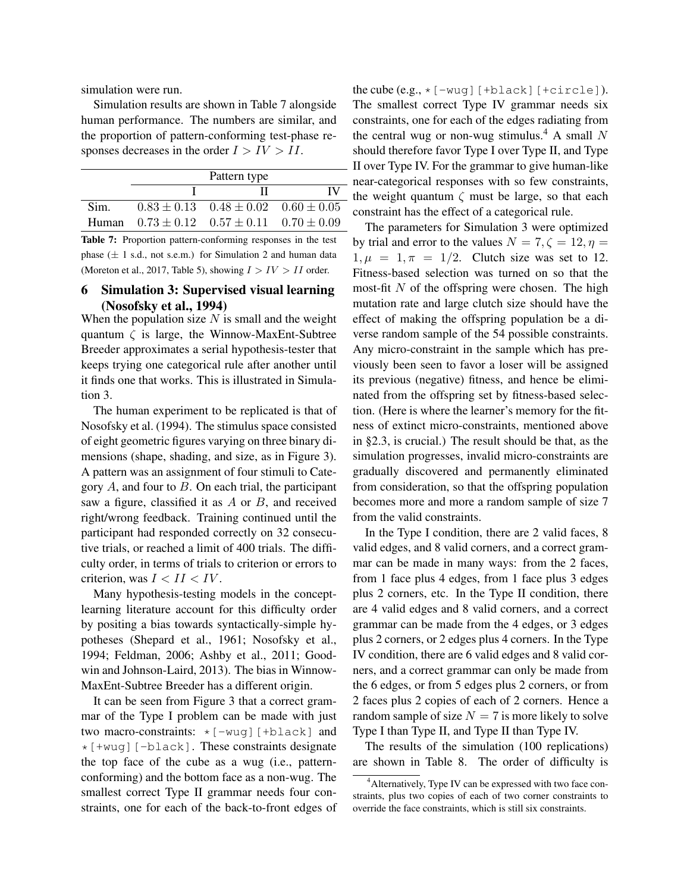simulation were run.

Simulation results are shown in Table 7 alongside human performance. The numbers are similar, and the proportion of pattern-conforming test-phase responses decreases in the order *I > IV > II*.

|      | Pattern type                                          |     |
|------|-------------------------------------------------------|-----|
|      |                                                       | TV. |
| Sim. | $0.83 \pm 0.13$ $0.48 \pm 0.02$ $0.60 \pm 0.05$       |     |
|      | Human $0.73 \pm 0.12$ $0.57 \pm 0.11$ $0.70 \pm 0.09$ |     |

Table 7: Proportion pattern-conforming responses in the test phase (*±* 1 s.d., not s.e.m.) for Simulation 2 and human data (Moreton et al., 2017, Table 5), showing  $I > IV > II$  order.

### 6 Simulation 3: Supervised visual learning (Nosofsky et al., 1994)

When the population size *N* is small and the weight quantum  $\zeta$  is large, the Winnow-MaxEnt-Subtree Breeder approximates a serial hypothesis-tester that keeps trying one categorical rule after another until it finds one that works. This is illustrated in Simulation 3.

The human experiment to be replicated is that of Nosofsky et al. (1994). The stimulus space consisted of eight geometric figures varying on three binary dimensions (shape, shading, and size, as in Figure 3). A pattern was an assignment of four stimuli to Category *A*, and four to *B*. On each trial, the participant saw a figure, classified it as *A* or *B*, and received right/wrong feedback. Training continued until the participant had responded correctly on 32 consecutive trials, or reached a limit of 400 trials. The difficulty order, in terms of trials to criterion or errors to criterion, was  $I < II < IV$ .

Many hypothesis-testing models in the conceptlearning literature account for this difficulty order by positing a bias towards syntactically-simple hypotheses (Shepard et al., 1961; Nosofsky et al., 1994; Feldman, 2006; Ashby et al., 2011; Goodwin and Johnson-Laird, 2013). The bias in Winnow-MaxEnt-Subtree Breeder has a different origin.

It can be seen from Figure 3 that a correct grammar of the Type I problem can be made with just two macro-constraints:  $\star$  [-wug][+black] and  $\star$  [+wug][-black]. These constraints designate the top face of the cube as a wug (i.e., patternconforming) and the bottom face as a non-wug. The smallest correct Type II grammar needs four constraints, one for each of the back-to-front edges of the cube  $(e.g., *[-way] [+black] [+circ]$ . The smallest correct Type IV grammar needs six constraints, one for each of the edges radiating from the central wug or non-wug stimulus.<sup>4</sup> A small  $N$ should therefore favor Type I over Type II, and Type II over Type IV. For the grammar to give human-like near-categorical responses with so few constraints, the weight quantum  $\zeta$  must be large, so that each constraint has the effect of a categorical rule.

The parameters for Simulation 3 were optimized by trial and error to the values  $N = 7, \zeta = 12, \eta =$  $1, \mu = 1, \pi = 1/2$ . Clutch size was set to 12. Fitness-based selection was turned on so that the most-fit *N* of the offspring were chosen. The high mutation rate and large clutch size should have the effect of making the offspring population be a diverse random sample of the 54 possible constraints. Any micro-constraint in the sample which has previously been seen to favor a loser will be assigned its previous (negative) fitness, and hence be eliminated from the offspring set by fitness-based selection. (Here is where the learner's memory for the fitness of extinct micro-constraints, mentioned above in §2.3, is crucial.) The result should be that, as the simulation progresses, invalid micro-constraints are gradually discovered and permanently eliminated from consideration, so that the offspring population becomes more and more a random sample of size 7 from the valid constraints.

In the Type I condition, there are 2 valid faces, 8 valid edges, and 8 valid corners, and a correct grammar can be made in many ways: from the 2 faces, from 1 face plus 4 edges, from 1 face plus 3 edges plus 2 corners, etc. In the Type II condition, there are 4 valid edges and 8 valid corners, and a correct grammar can be made from the 4 edges, or 3 edges plus 2 corners, or 2 edges plus 4 corners. In the Type IV condition, there are 6 valid edges and 8 valid corners, and a correct grammar can only be made from the 6 edges, or from 5 edges plus 2 corners, or from 2 faces plus 2 copies of each of 2 corners. Hence a random sample of size  $N = 7$  is more likely to solve Type I than Type II, and Type II than Type IV.

The results of the simulation (100 replications) are shown in Table 8. The order of difficulty is

<sup>&</sup>lt;sup>4</sup> Alternatively, Type IV can be expressed with two face constraints, plus two copies of each of two corner constraints to override the face constraints, which is still six constraints.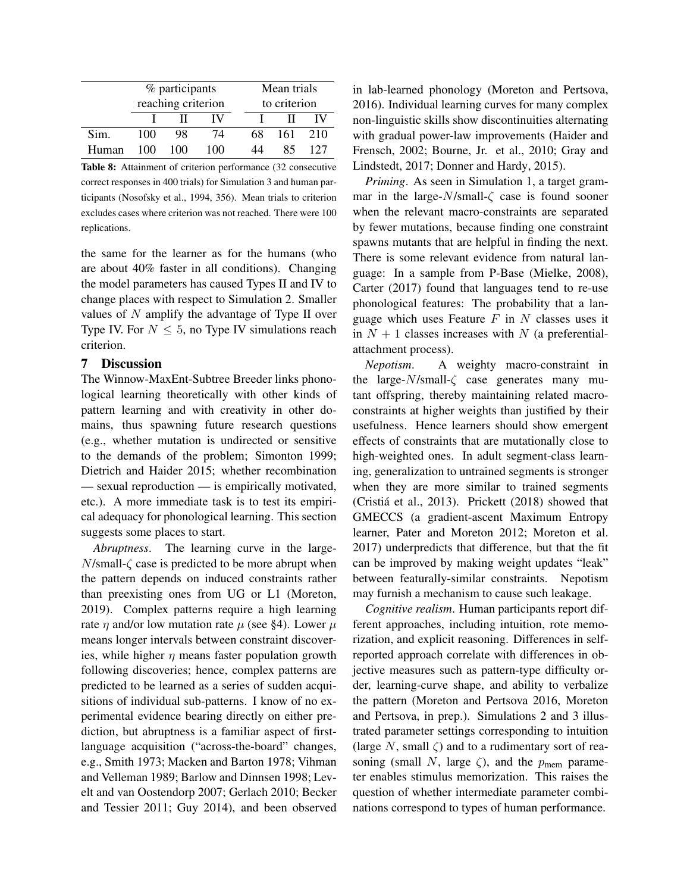|       | % participants<br>reaching criterion |     | Mean trials<br>to criterion |    |     |     |
|-------|--------------------------------------|-----|-----------------------------|----|-----|-----|
|       |                                      |     | IV                          |    |     | IV  |
| Sim.  | 100                                  | 98  | 74                          | 68 | 161 | 210 |
| Human | 100                                  | 100 | 100                         |    | 85  | 127 |

Table 8: Attainment of criterion performance (32 consecutive correct responses in 400 trials) for Simulation 3 and human participants (Nosofsky et al., 1994, 356). Mean trials to criterion excludes cases where criterion was not reached. There were 100 replications.

the same for the learner as for the humans (who are about 40% faster in all conditions). Changing the model parameters has caused Types II and IV to change places with respect to Simulation 2. Smaller values of *N* amplify the advantage of Type II over Type IV. For  $N \leq 5$ , no Type IV simulations reach criterion.

### 7 Discussion

The Winnow-MaxEnt-Subtree Breeder links phonological learning theoretically with other kinds of pattern learning and with creativity in other domains, thus spawning future research questions (e.g., whether mutation is undirected or sensitive to the demands of the problem; Simonton 1999; Dietrich and Haider 2015; whether recombination — sexual reproduction — is empirically motivated, etc.). A more immediate task is to test its empirical adequacy for phonological learning. This section suggests some places to start.

*Abruptness*. The learning curve in the large- $N$ /small- $\zeta$  case is predicted to be more abrupt when the pattern depends on induced constraints rather than preexisting ones from UG or L1 (Moreton, 2019). Complex patterns require a high learning rate  $\eta$  and/or low mutation rate  $\mu$  (see §4). Lower  $\mu$ means longer intervals between constraint discoveries, while higher  $\eta$  means faster population growth following discoveries; hence, complex patterns are predicted to be learned as a series of sudden acquisitions of individual sub-patterns. I know of no experimental evidence bearing directly on either prediction, but abruptness is a familiar aspect of firstlanguage acquisition ("across-the-board" changes, e.g., Smith 1973; Macken and Barton 1978; Vihman and Velleman 1989; Barlow and Dinnsen 1998; Levelt and van Oostendorp 2007; Gerlach 2010; Becker and Tessier 2011; Guy 2014), and been observed

in lab-learned phonology (Moreton and Pertsova, 2016). Individual learning curves for many complex non-linguistic skills show discontinuities alternating with gradual power-law improvements (Haider and Frensch, 2002; Bourne, Jr. et al., 2010; Gray and Lindstedt, 2017; Donner and Hardy, 2015).

*Priming*. As seen in Simulation 1, a target grammar in the large- $N$ /small- $\zeta$  case is found sooner when the relevant macro-constraints are separated by fewer mutations, because finding one constraint spawns mutants that are helpful in finding the next. There is some relevant evidence from natural language: In a sample from P-Base (Mielke, 2008), Carter (2017) found that languages tend to re-use phonological features: The probability that a language which uses Feature *F* in *N* classes uses it in  $N + 1$  classes increases with  $N$  (a preferentialattachment process).

*Nepotism*. A weighty macro-constraint in the large- $N$ /small- $\zeta$  case generates many mutant offspring, thereby maintaining related macroconstraints at higher weights than justified by their usefulness. Hence learners should show emergent effects of constraints that are mutationally close to high-weighted ones. In adult segment-class learning, generalization to untrained segments is stronger when they are more similar to trained segments (Cristiá et al., 2013). Prickett (2018) showed that GMECCS (a gradient-ascent Maximum Entropy learner, Pater and Moreton 2012; Moreton et al. 2017) underpredicts that difference, but that the fit can be improved by making weight updates "leak" between featurally-similar constraints. Nepotism may furnish a mechanism to cause such leakage.

*Cognitive realism*. Human participants report different approaches, including intuition, rote memorization, and explicit reasoning. Differences in selfreported approach correlate with differences in objective measures such as pattern-type difficulty order, learning-curve shape, and ability to verbalize the pattern (Moreton and Pertsova 2016, Moreton and Pertsova, in prep.). Simulations 2 and 3 illustrated parameter settings corresponding to intuition (large  $N$ , small  $\zeta$ ) and to a rudimentary sort of reasoning (small  $N$ , large  $\zeta$ ), and the  $p_{\text{mem}}$  parameter enables stimulus memorization. This raises the question of whether intermediate parameter combinations correspond to types of human performance.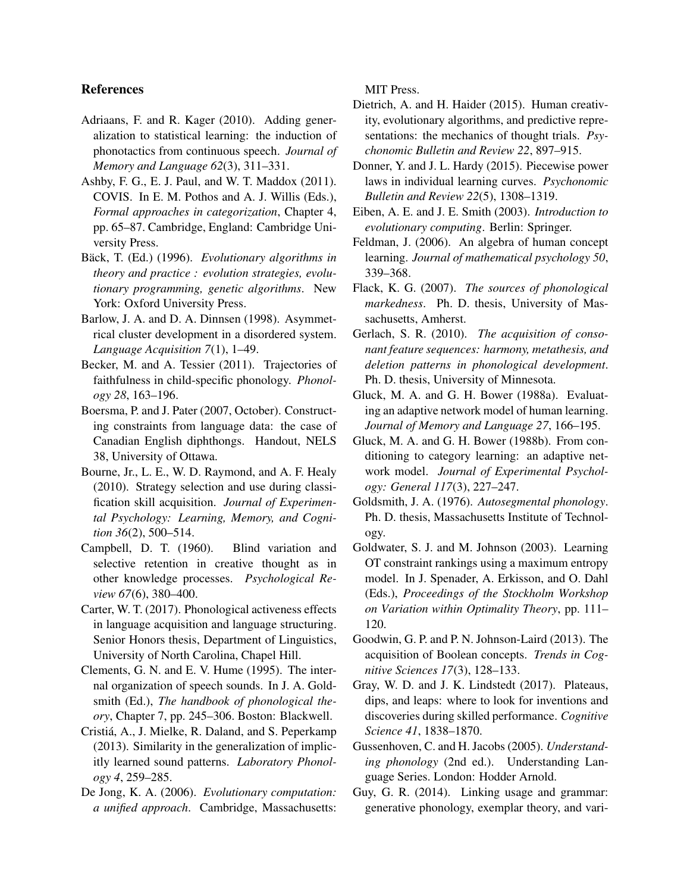## References

- Adriaans, F. and R. Kager (2010). Adding generalization to statistical learning: the induction of phonotactics from continuous speech. *Journal of Memory and Language 62*(3), 311–331.
- Ashby, F. G., E. J. Paul, and W. T. Maddox (2011). COVIS. In E. M. Pothos and A. J. Willis (Eds.), *Formal approaches in categorization*, Chapter 4, pp. 65–87. Cambridge, England: Cambridge University Press.
- Bäck, T. (Ed.) (1996). *Evolutionary algorithms in theory and practice : evolution strategies, evolutionary programming, genetic algorithms*. New York: Oxford University Press.
- Barlow, J. A. and D. A. Dinnsen (1998). Asymmetrical cluster development in a disordered system. *Language Acquisition 7*(1), 1–49.
- Becker, M. and A. Tessier (2011). Trajectories of faithfulness in child-specific phonology. *Phonology 28*, 163–196.
- Boersma, P. and J. Pater (2007, October). Constructing constraints from language data: the case of Canadian English diphthongs. Handout, NELS 38, University of Ottawa.
- Bourne, Jr., L. E., W. D. Raymond, and A. F. Healy (2010). Strategy selection and use during classification skill acquisition. *Journal of Experimental Psychology: Learning, Memory, and Cognition 36*(2), 500–514.
- Campbell, D. T. (1960). Blind variation and selective retention in creative thought as in other knowledge processes. *Psychological Review 67*(6), 380–400.
- Carter, W. T. (2017). Phonological activeness effects in language acquisition and language structuring. Senior Honors thesis, Department of Linguistics, University of North Carolina, Chapel Hill.
- Clements, G. N. and E. V. Hume (1995). The internal organization of speech sounds. In J. A. Goldsmith (Ed.), *The handbook of phonological theory*, Chapter 7, pp. 245–306. Boston: Blackwell.
- Cristiá, A., J. Mielke, R. Daland, and S. Peperkamp (2013). Similarity in the generalization of implicitly learned sound patterns. *Laboratory Phonology 4*, 259–285.
- De Jong, K. A. (2006). *Evolutionary computation: a unified approach*. Cambridge, Massachusetts:

MIT Press.

- Dietrich, A. and H. Haider (2015). Human creativity, evolutionary algorithms, and predictive representations: the mechanics of thought trials. *Psychonomic Bulletin and Review 22*, 897–915.
- Donner, Y. and J. L. Hardy (2015). Piecewise power laws in individual learning curves. *Psychonomic Bulletin and Review 22*(5), 1308–1319.
- Eiben, A. E. and J. E. Smith (2003). *Introduction to evolutionary computing*. Berlin: Springer.
- Feldman, J. (2006). An algebra of human concept learning. *Journal of mathematical psychology 50*, 339–368.
- Flack, K. G. (2007). *The sources of phonological markedness*. Ph. D. thesis, University of Massachusetts, Amherst.
- Gerlach, S. R. (2010). *The acquisition of consonant feature sequences: harmony, metathesis, and deletion patterns in phonological development*. Ph. D. thesis, University of Minnesota.
- Gluck, M. A. and G. H. Bower (1988a). Evaluating an adaptive network model of human learning. *Journal of Memory and Language 27*, 166–195.
- Gluck, M. A. and G. H. Bower (1988b). From conditioning to category learning: an adaptive network model. *Journal of Experimental Psychology: General 117*(3), 227–247.
- Goldsmith, J. A. (1976). *Autosegmental phonology*. Ph. D. thesis, Massachusetts Institute of Technology.
- Goldwater, S. J. and M. Johnson (2003). Learning OT constraint rankings using a maximum entropy model. In J. Spenader, A. Erkisson, and O. Dahl (Eds.), *Proceedings of the Stockholm Workshop on Variation within Optimality Theory*, pp. 111– 120.
- Goodwin, G. P. and P. N. Johnson-Laird (2013). The acquisition of Boolean concepts. *Trends in Cognitive Sciences 17*(3), 128–133.
- Gray, W. D. and J. K. Lindstedt (2017). Plateaus, dips, and leaps: where to look for inventions and discoveries during skilled performance. *Cognitive Science 41*, 1838–1870.
- Gussenhoven, C. and H. Jacobs (2005). *Understanding phonology* (2nd ed.). Understanding Language Series. London: Hodder Arnold.
- Guy, G. R. (2014). Linking usage and grammar: generative phonology, exemplar theory, and vari-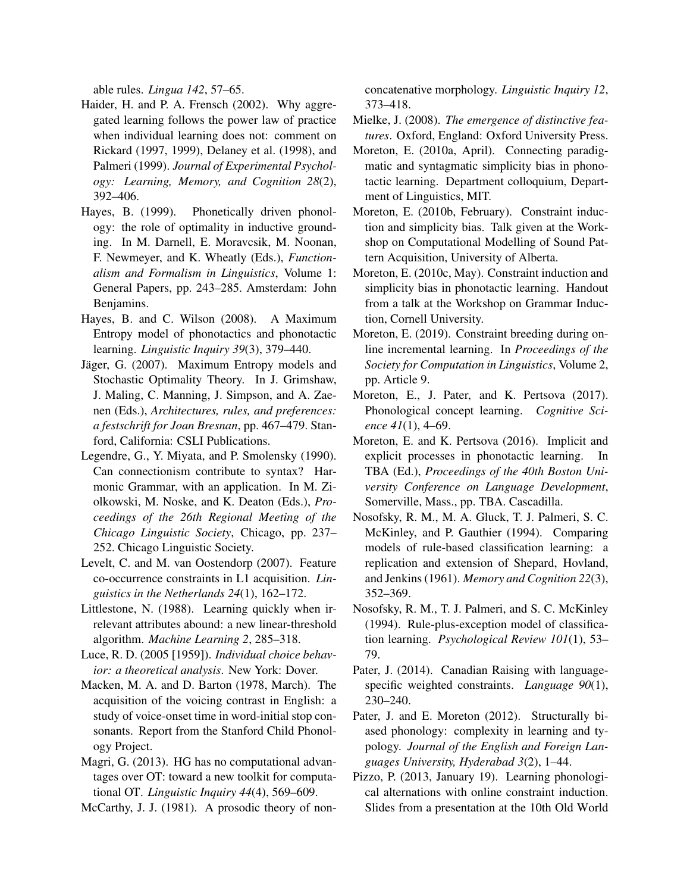able rules. *Lingua 142*, 57–65.

- Haider, H. and P. A. Frensch (2002). Why aggregated learning follows the power law of practice when individual learning does not: comment on Rickard (1997, 1999), Delaney et al. (1998), and Palmeri (1999). *Journal of Experimental Psychology: Learning, Memory, and Cognition 28*(2), 392–406.
- Hayes, B. (1999). Phonetically driven phonology: the role of optimality in inductive grounding. In M. Darnell, E. Moravcsik, M. Noonan, F. Newmeyer, and K. Wheatly (Eds.), *Functionalism and Formalism in Linguistics*, Volume 1: General Papers, pp. 243–285. Amsterdam: John Benjamins.
- Hayes, B. and C. Wilson (2008). A Maximum Entropy model of phonotactics and phonotactic learning. *Linguistic Inquiry 39*(3), 379–440.
- Jäger, G. (2007). Maximum Entropy models and Stochastic Optimality Theory. In J. Grimshaw, J. Maling, C. Manning, J. Simpson, and A. Zaenen (Eds.), *Architectures, rules, and preferences: a festschrift for Joan Bresnan*, pp. 467–479. Stanford, California: CSLI Publications.
- Legendre, G., Y. Miyata, and P. Smolensky (1990). Can connectionism contribute to syntax? Harmonic Grammar, with an application. In M. Ziolkowski, M. Noske, and K. Deaton (Eds.), *Proceedings of the 26th Regional Meeting of the Chicago Linguistic Society*, Chicago, pp. 237– 252. Chicago Linguistic Society.
- Levelt, C. and M. van Oostendorp (2007). Feature co-occurrence constraints in L1 acquisition. *Linguistics in the Netherlands 24*(1), 162–172.
- Littlestone, N. (1988). Learning quickly when irrelevant attributes abound: a new linear-threshold algorithm. *Machine Learning 2*, 285–318.
- Luce, R. D. (2005 [1959]). *Individual choice behavior: a theoretical analysis*. New York: Dover.
- Macken, M. A. and D. Barton (1978, March). The acquisition of the voicing contrast in English: a study of voice-onset time in word-initial stop consonants. Report from the Stanford Child Phonology Project.
- Magri, G. (2013). HG has no computational advantages over OT: toward a new toolkit for computational OT. *Linguistic Inquiry 44*(4), 569–609.
- McCarthy, J. J. (1981). A prosodic theory of non-

concatenative morphology. *Linguistic Inquiry 12*, 373–418.

- Mielke, J. (2008). *The emergence of distinctive features*. Oxford, England: Oxford University Press.
- Moreton, E. (2010a, April). Connecting paradigmatic and syntagmatic simplicity bias in phonotactic learning. Department colloquium, Department of Linguistics, MIT.
- Moreton, E. (2010b, February). Constraint induction and simplicity bias. Talk given at the Workshop on Computational Modelling of Sound Pattern Acquisition, University of Alberta.
- Moreton, E. (2010c, May). Constraint induction and simplicity bias in phonotactic learning. Handout from a talk at the Workshop on Grammar Induction, Cornell University.
- Moreton, E. (2019). Constraint breeding during online incremental learning. In *Proceedings of the Society for Computation in Linguistics*, Volume 2, pp. Article 9.
- Moreton, E., J. Pater, and K. Pertsova (2017). Phonological concept learning. *Cognitive Science 41*(1), 4–69.
- Moreton, E. and K. Pertsova (2016). Implicit and explicit processes in phonotactic learning. In TBA (Ed.), *Proceedings of the 40th Boston University Conference on Language Development*, Somerville, Mass., pp. TBA. Cascadilla.
- Nosofsky, R. M., M. A. Gluck, T. J. Palmeri, S. C. McKinley, and P. Gauthier (1994). Comparing models of rule-based classification learning: a replication and extension of Shepard, Hovland, and Jenkins (1961). *Memory and Cognition 22*(3), 352–369.
- Nosofsky, R. M., T. J. Palmeri, and S. C. McKinley (1994). Rule-plus-exception model of classification learning. *Psychological Review 101*(1), 53– 79.
- Pater, J. (2014). Canadian Raising with languagespecific weighted constraints. *Language 90*(1), 230–240.
- Pater, J. and E. Moreton (2012). Structurally biased phonology: complexity in learning and typology. *Journal of the English and Foreign Languages University, Hyderabad 3*(2), 1–44.
- Pizzo, P. (2013, January 19). Learning phonological alternations with online constraint induction. Slides from a presentation at the 10th Old World